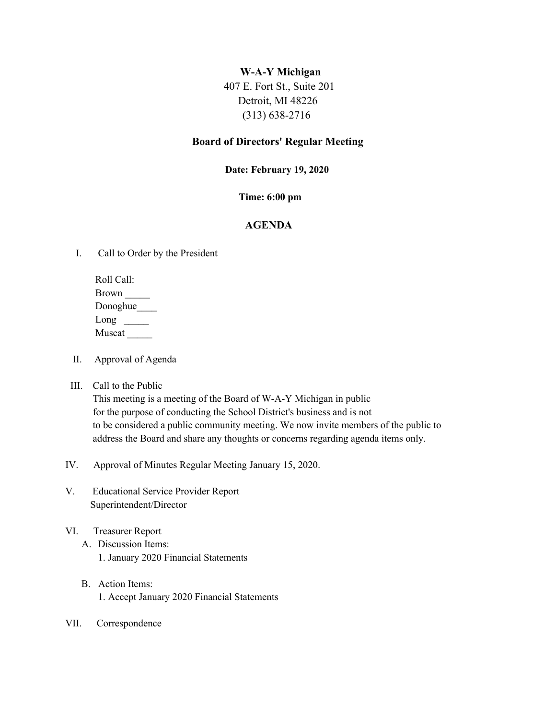# **W-A-Y Michigan**

407 E. Fort St., Suite 201 Detroit, MI 48226 (313) 638-2716

# **Board of Directors' Regular Meeting**

#### **Date: February 19, 2020**

# **Time: 6:00 pm**

# **AGENDA**

I. Call to Order by the President

 Roll Call: Brown \_\_\_\_\_ Donoghue\_\_\_\_ Long  $\Box$ Muscat \_\_\_\_\_

- II. Approval of Agenda
- III. Call to the Public

 This meeting is a meeting of the Board of W-A-Y Michigan in public for the purpose of conducting the School District's business and is not to be considered a public community meeting. We now invite members of the public to address the Board and share any thoughts or concerns regarding agenda items only.

- IV. Approval of Minutes Regular Meeting January 15, 2020.
- V. Educational Service Provider Report Superintendent/Director

# VI. Treasurer Report

- A. Discussion Items: 1. January 2020 Financial Statements
- B. Action Items: 1. Accept January 2020 Financial Statements
- VII. Correspondence